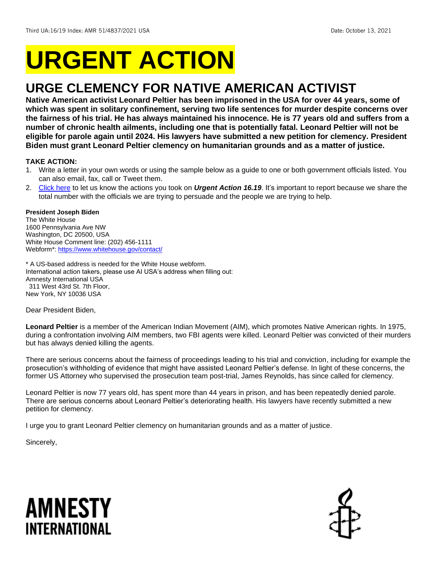# **URGENT ACTION**

## **URGE CLEMENCY FOR NATIVE AMERICAN ACTIVIST**

**Native American activist Leonard Peltier has been imprisoned in the USA for over 44 years, some of which was spent in solitary confinement, serving two life sentences for murder despite concerns over the fairness of his trial. He has always maintained his innocence. He is 77 years old and suffers from a number of chronic health ailments, including one that is potentially fatal. Leonard Peltier will not be eligible for parole again until 2024. His lawyers have submitted a new petition for clemency. President Biden must grant Leonard Peltier clemency on humanitarian grounds and as a matter of justice.** 

## **TAKE ACTION:**

- 1. Write a letter in your own words or using the sample below as a guide to one or both government officials listed. You can also email, fax, call or Tweet them.
- 2. [Click here](https://www.amnestyusa.org/report-urgent-actions/) to let us know the actions you took on *Urgent Action 16.19*. It's important to report because we share the total number with the officials we are trying to persuade and the people we are trying to help.

## **President Joseph Biden**

The White House 1600 Pennsylvania Ave NW Washington, DC 20500, USA White House Comment line: (202) 456-1111 Webform\*: <https://www.whitehouse.gov/contact/>

\* A US-based address is needed for the White House webform. International action takers, please use AI USA's address when filling out: Amnesty International USA 311 West 43rd St. 7th Floor, New York, NY 10036 USA

Dear President Biden,

**Leonard Peltier** is a member of the American Indian Movement (AIM), which promotes Native American rights. In 1975, during a confrontation involving AIM members, two FBI agents were killed. Leonard Peltier was convicted of their murders but has always denied killing the agents.

There are serious concerns about the fairness of proceedings leading to his trial and conviction, including for example the prosecution's withholding of evidence that might have assisted Leonard Peltier's defense. In light of these concerns, the former US Attorney who supervised the prosecution team post-trial, James Reynolds, has since called for clemency.

Leonard Peltier is now 77 years old, has spent more than 44 years in prison, and has been repeatedly denied parole. There are serious concerns about Leonard Peltier's deteriorating health. His lawyers have recently submitted a new petition for clemency.

I urge you to grant Leonard Peltier clemency on humanitarian grounds and as a matter of justice.

Sincerely,